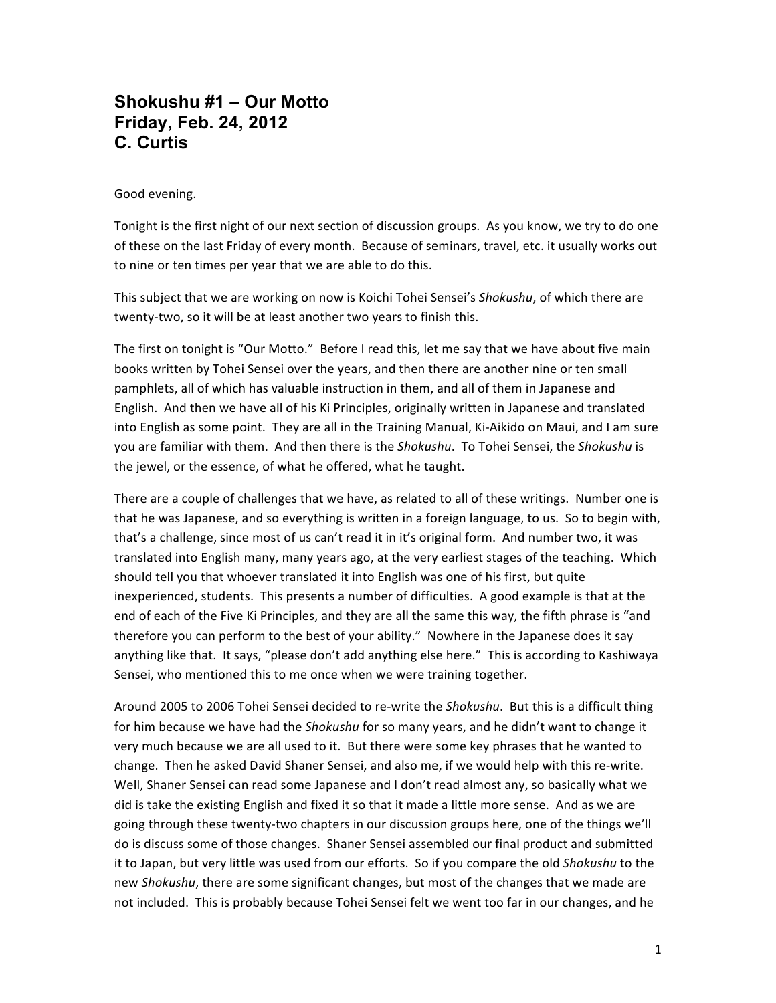# **Shokushu #1 – Our Motto Friday, Feb. 24, 2012 C. Curtis**

#### Good evening.

Tonight is the first night of our next section of discussion groups. As you know, we try to do one of these on the last Friday of every month. Because of seminars, travel, etc. it usually works out to nine or ten times per year that we are able to do this.

This subject that we are working on now is Koichi Tohei Sensei's Shokushu, of which there are twenty-two, so it will be at least another two years to finish this.

The first on tonight is "Our Motto." Before I read this, let me say that we have about five main books written by Tohei Sensei over the years, and then there are another nine or ten small pamphlets, all of which has valuable instruction in them, and all of them in Japanese and English. And then we have all of his Ki Principles, originally written in Japanese and translated into English as some point. They are all in the Training Manual, Ki-Aikido on Maui, and I am sure you are familiar with them. And then there is the *Shokushu*. To Tohei Sensei, the Shokushu is the jewel, or the essence, of what he offered, what he taught.

There are a couple of challenges that we have, as related to all of these writings. Number one is that he was Japanese, and so everything is written in a foreign language, to us. So to begin with, that's a challenge, since most of us can't read it in it's original form. And number two, it was translated into English many, many years ago, at the very earliest stages of the teaching. Which should tell you that whoever translated it into English was one of his first, but quite inexperienced, students. This presents a number of difficulties. A good example is that at the end of each of the Five Ki Principles, and they are all the same this way, the fifth phrase is "and therefore you can perform to the best of your ability." Nowhere in the Japanese does it say anything like that. It says, "please don't add anything else here." This is according to Kashiwaya Sensei, who mentioned this to me once when we were training together.

Around 2005 to 2006 Tohei Sensei decided to re-write the *Shokushu*. But this is a difficult thing for him because we have had the *Shokushu* for so many years, and he didn't want to change it very much because we are all used to it. But there were some key phrases that he wanted to change. Then he asked David Shaner Sensei, and also me, if we would help with this re-write. Well, Shaner Sensei can read some Japanese and I don't read almost any, so basically what we did is take the existing English and fixed it so that it made a little more sense. And as we are going through these twenty-two chapters in our discussion groups here, one of the things we'll do is discuss some of those changes. Shaner Sensei assembled our final product and submitted it to Japan, but very little was used from our efforts. So if you compare the old Shokushu to the new *Shokushu*, there are some significant changes, but most of the changes that we made are not included. This is probably because Tohei Sensei felt we went too far in our changes, and he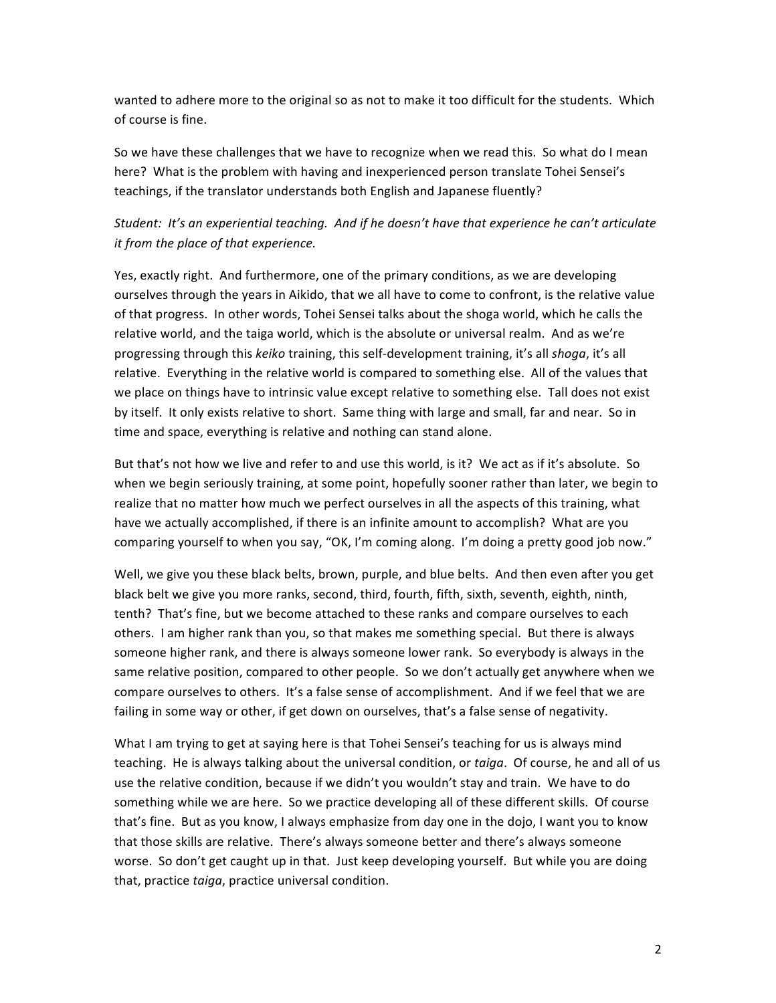wanted to adhere more to the original so as not to make it too difficult for the students. Which of course is fine.

So we have these challenges that we have to recognize when we read this. So what do I mean here? What is the problem with having and inexperienced person translate Tohei Sensei's teachings, if the translator understands both English and Japanese fluently?

# Student: It's an experiential teaching. And if he doesn't have that experience he can't articulate *it* from the place of that experience.

Yes, exactly right. And furthermore, one of the primary conditions, as we are developing ourselves through the years in Aikido, that we all have to come to confront, is the relative value of that progress. In other words, Tohei Sensei talks about the shoga world, which he calls the relative world, and the taiga world, which is the absolute or universal realm. And as we're progressing through this *keiko* training, this self-development training, it's all *shoga*, it's all relative. Everything in the relative world is compared to something else. All of the values that we place on things have to intrinsic value except relative to something else. Tall does not exist by itself. It only exists relative to short. Same thing with large and small, far and near. So in time and space, everything is relative and nothing can stand alone.

But that's not how we live and refer to and use this world, is it? We act as if it's absolute. So when we begin seriously training, at some point, hopefully sooner rather than later, we begin to realize that no matter how much we perfect ourselves in all the aspects of this training, what have we actually accomplished, if there is an infinite amount to accomplish? What are you comparing yourself to when you say, "OK, I'm coming along. I'm doing a pretty good job now."

Well, we give you these black belts, brown, purple, and blue belts. And then even after you get black belt we give you more ranks, second, third, fourth, fifth, sixth, seventh, eighth, ninth, tenth? That's fine, but we become attached to these ranks and compare ourselves to each others. I am higher rank than you, so that makes me something special. But there is always someone higher rank, and there is always someone lower rank. So everybody is always in the same relative position, compared to other people. So we don't actually get anywhere when we compare ourselves to others. It's a false sense of accomplishment. And if we feel that we are failing in some way or other, if get down on ourselves, that's a false sense of negativity.

What I am trying to get at saying here is that Tohei Sensei's teaching for us is always mind teaching. He is always talking about the universal condition, or taiga. Of course, he and all of us use the relative condition, because if we didn't you wouldn't stay and train. We have to do something while we are here. So we practice developing all of these different skills. Of course that's fine. But as you know, I always emphasize from day one in the dojo, I want you to know that those skills are relative. There's always someone better and there's always someone worse. So don't get caught up in that. Just keep developing yourself. But while you are doing that, practice taiga, practice universal condition.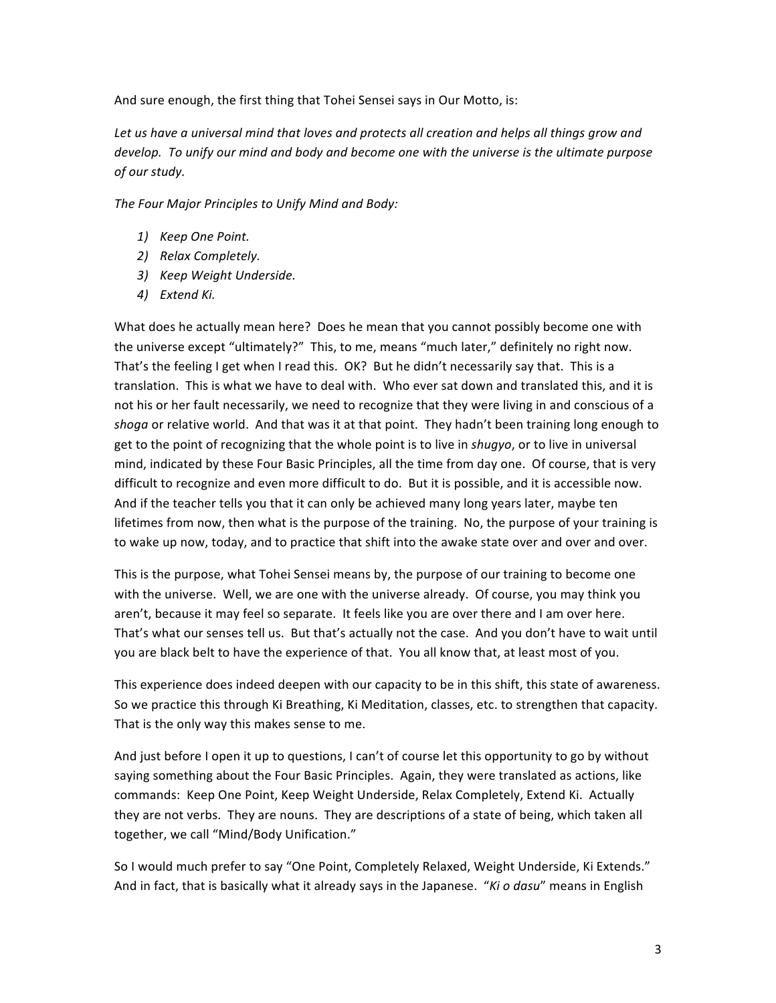And sure enough, the first thing that Tohei Sensei says in Our Motto, is:

Let us have a universal mind that loves and protects all creation and helps all things grow and develop. To unify our mind and body and become one with the universe is the ultimate purpose *of our study.*

The Four Major Principles to Unify Mind and Body:

- *1) Keep One Point.*
- *2) Relax Completely.*
- *3) Keep Weight Underside.*
- *4) Extend Ki.*

What does he actually mean here? Does he mean that you cannot possibly become one with the universe except "ultimately?" This, to me, means "much later," definitely no right now. That's the feeling I get when I read this. OK? But he didn't necessarily say that. This is a translation. This is what we have to deal with. Who ever sat down and translated this, and it is not his or her fault necessarily, we need to recognize that they were living in and conscious of a shoga or relative world. And that was it at that point. They hadn't been training long enough to get to the point of recognizing that the whole point is to live in *shugyo*, or to live in universal mind, indicated by these Four Basic Principles, all the time from day one. Of course, that is very difficult to recognize and even more difficult to do. But it is possible, and it is accessible now. And if the teacher tells you that it can only be achieved many long years later, maybe ten lifetimes from now, then what is the purpose of the training. No, the purpose of your training is to wake up now, today, and to practice that shift into the awake state over and over and over.

This is the purpose, what Tohei Sensei means by, the purpose of our training to become one with the universe. Well, we are one with the universe already. Of course, you may think you aren't, because it may feel so separate. It feels like you are over there and I am over here. That's what our senses tell us. But that's actually not the case. And you don't have to wait until you are black belt to have the experience of that. You all know that, at least most of you.

This experience does indeed deepen with our capacity to be in this shift, this state of awareness. So we practice this through Ki Breathing, Ki Meditation, classes, etc. to strengthen that capacity. That is the only way this makes sense to me.

And just before I open it up to questions, I can't of course let this opportunity to go by without saying something about the Four Basic Principles. Again, they were translated as actions, like commands: Keep One Point, Keep Weight Underside, Relax Completely, Extend Ki. Actually they are not verbs. They are nouns. They are descriptions of a state of being, which taken all together, we call "Mind/Body Unification."

So I would much prefer to say "One Point, Completely Relaxed, Weight Underside, Ki Extends." And in fact, that is basically what it already says in the Japanese. "*Ki o dasu*" means in English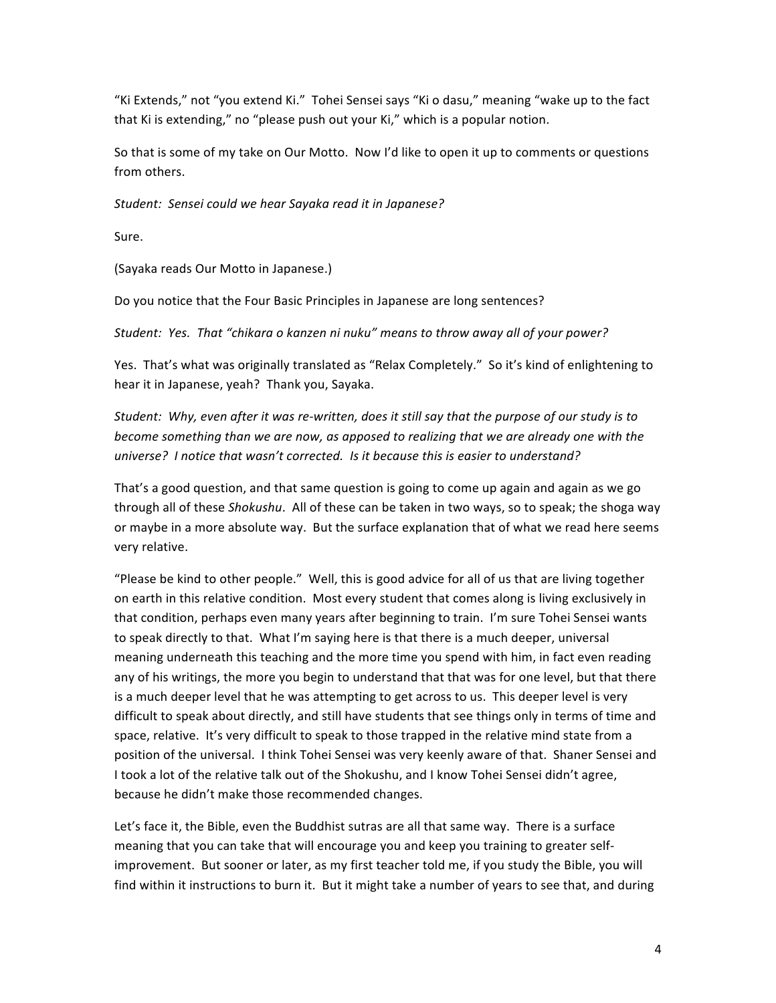"Ki Extends," not "you extend Ki." Tohei Sensei says "Ki o dasu," meaning "wake up to the fact that Ki is extending," no "please push out your Ki," which is a popular notion.

So that is some of my take on Our Motto. Now I'd like to open it up to comments or questions from others.

Student: Sensei could we hear Sayaka read it in Japanese?

Sure. 

(Sayaka reads Our Motto in Japanese.)

Do you notice that the Four Basic Principles in Japanese are long sentences?

Student: Yes. That "chikara o kanzen ni nuku" means to throw away all of your power?

Yes. That's what was originally translated as "Relax Completely." So it's kind of enlightening to hear it in Japanese, yeah? Thank you, Sayaka.

Student: Why, even after it was re-written, does it still say that the purpose of our study is to *become something than we are now, as apposed to realizing that we are already one with the universe? I* notice that wasn't corrected. Is it because this is easier to understand?

That's a good question, and that same question is going to come up again and again as we go through all of these *Shokushu*. All of these can be taken in two ways, so to speak; the shoga way or maybe in a more absolute way. But the surface explanation that of what we read here seems very relative.

"Please be kind to other people." Well, this is good advice for all of us that are living together on earth in this relative condition. Most every student that comes along is living exclusively in that condition, perhaps even many years after beginning to train. I'm sure Tohei Sensei wants to speak directly to that. What I'm saying here is that there is a much deeper, universal meaning underneath this teaching and the more time you spend with him, in fact even reading any of his writings, the more you begin to understand that that was for one level, but that there is a much deeper level that he was attempting to get across to us. This deeper level is very difficult to speak about directly, and still have students that see things only in terms of time and space, relative. It's very difficult to speak to those trapped in the relative mind state from a position of the universal. I think Tohei Sensei was very keenly aware of that. Shaner Sensei and I took a lot of the relative talk out of the Shokushu, and I know Tohei Sensei didn't agree, because he didn't make those recommended changes.

Let's face it, the Bible, even the Buddhist sutras are all that same way. There is a surface meaning that you can take that will encourage you and keep you training to greater selfimprovement. But sooner or later, as my first teacher told me, if you study the Bible, you will find within it instructions to burn it. But it might take a number of years to see that, and during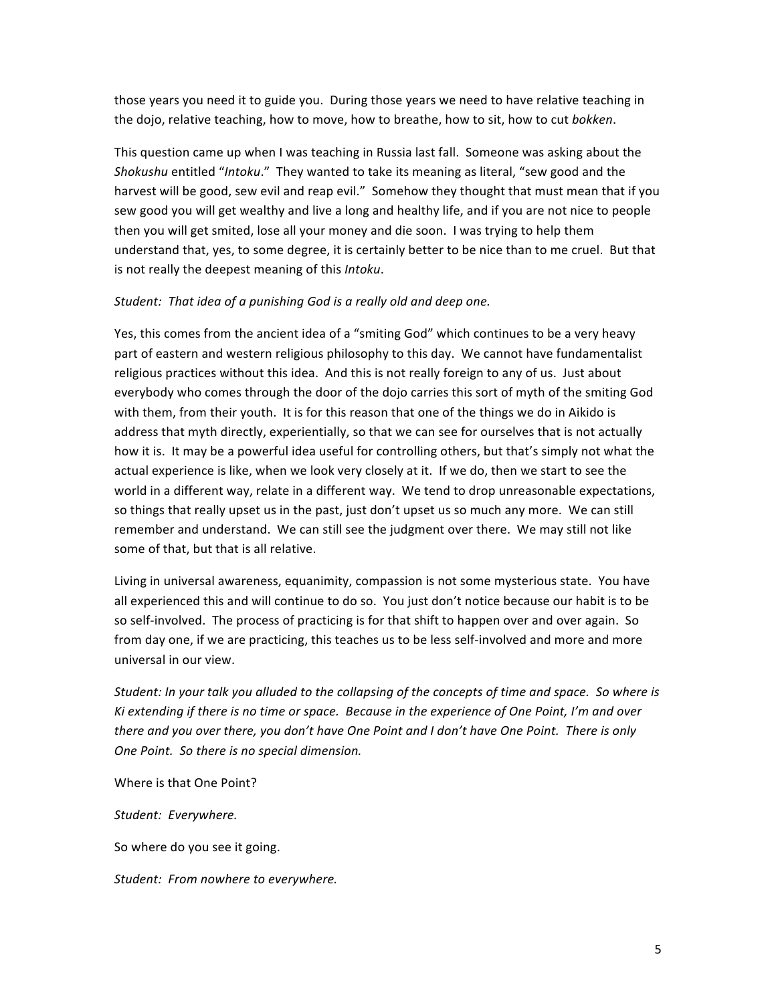those years you need it to guide you. During those years we need to have relative teaching in the dojo, relative teaching, how to move, how to breathe, how to sit, how to cut *bokken*.

This question came up when I was teaching in Russia last fall. Someone was asking about the *Shokushu* entitled "*Intoku*." They wanted to take its meaning as literal, "sew good and the harvest will be good, sew evil and reap evil." Somehow they thought that must mean that if you sew good you will get wealthy and live a long and healthy life, and if you are not nice to people then you will get smited, lose all your money and die soon. I was trying to help them understand that, yes, to some degree, it is certainly better to be nice than to me cruel. But that is not really the deepest meaning of this *Intoku*.

#### Student: That idea of a punishing God is a really old and deep one.

Yes, this comes from the ancient idea of a "smiting God" which continues to be a very heavy part of eastern and western religious philosophy to this day. We cannot have fundamentalist religious practices without this idea. And this is not really foreign to any of us. Just about everybody who comes through the door of the dojo carries this sort of myth of the smiting God with them, from their youth. It is for this reason that one of the things we do in Aikido is address that myth directly, experientially, so that we can see for ourselves that is not actually how it is. It may be a powerful idea useful for controlling others, but that's simply not what the actual experience is like, when we look very closely at it. If we do, then we start to see the world in a different way, relate in a different way. We tend to drop unreasonable expectations, so things that really upset us in the past, just don't upset us so much any more. We can still remember and understand. We can still see the judgment over there. We may still not like some of that, but that is all relative.

Living in universal awareness, equanimity, compassion is not some mysterious state. You have all experienced this and will continue to do so. You just don't notice because our habit is to be so self-involved. The process of practicing is for that shift to happen over and over again. So from day one, if we are practicing, this teaches us to be less self-involved and more and more universal in our view.

Student: In your talk you alluded to the collapsing of the concepts of time and space. So where is Ki extending if there is no time or space. Because in the experience of One Point, I'm and over *there and you over there, you don't have One Point and I don't have One Point. There is only One Point. So there is no special dimension.*

Where is that One Point?

Student: Everywhere.

So where do you see it going.

*Student: From nowhere to everywhere.*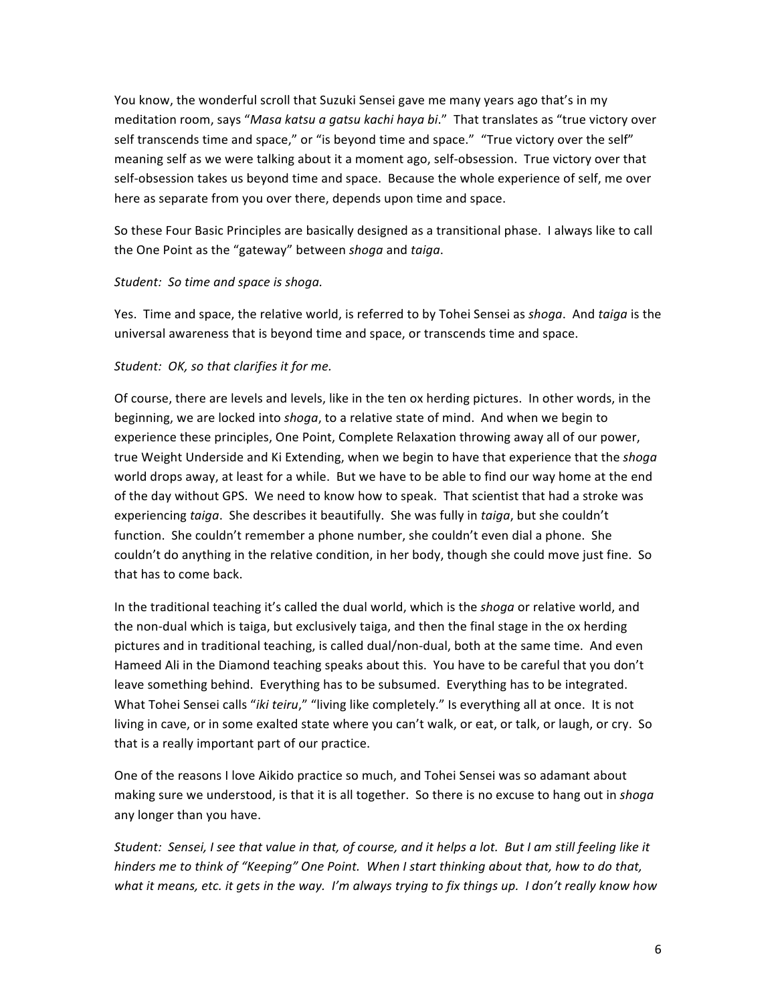You know, the wonderful scroll that Suzuki Sensei gave me many years ago that's in my meditation room, says "Masa katsu a gatsu kachi haya bi." That translates as "true victory over self transcends time and space," or "is beyond time and space." "True victory over the self" meaning self as we were talking about it a moment ago, self-obsession. True victory over that self-obsession takes us beyond time and space. Because the whole experience of self, me over here as separate from you over there, depends upon time and space.

So these Four Basic Principles are basically designed as a transitional phase. I always like to call the One Point as the "gateway" between shoga and taiga.

## Student: So time and space is shoga.

Yes. Time and space, the relative world, is referred to by Tohei Sensei as *shoga*. And taiga is the universal awareness that is beyond time and space, or transcends time and space.

# Student: OK, so that clarifies it for me.

Of course, there are levels and levels, like in the ten ox herding pictures. In other words, in the beginning, we are locked into shoga, to a relative state of mind. And when we begin to experience these principles, One Point, Complete Relaxation throwing away all of our power, true Weight Underside and Ki Extending, when we begin to have that experience that the *shogg* world drops away, at least for a while. But we have to be able to find our way home at the end of the day without GPS. We need to know how to speak. That scientist that had a stroke was experiencing *taiga*. She describes it beautifully. She was fully in *taiga*, but she couldn't function. She couldn't remember a phone number, she couldn't even dial a phone. She couldn't do anything in the relative condition, in her body, though she could move just fine. So that has to come back.

In the traditional teaching it's called the dual world, which is the *shoga* or relative world, and the non-dual which is taiga, but exclusively taiga, and then the final stage in the ox herding pictures and in traditional teaching, is called dual/non-dual, both at the same time. And even Hameed Ali in the Diamond teaching speaks about this. You have to be careful that you don't leave something behind. Everything has to be subsumed. Everything has to be integrated. What Tohei Sensei calls "*iki teiru*," "living like completely." Is everything all at once. It is not living in cave, or in some exalted state where you can't walk, or eat, or talk, or laugh, or cry. So that is a really important part of our practice.

One of the reasons I love Aikido practice so much, and Tohei Sensei was so adamant about making sure we understood, is that it is all together. So there is no excuse to hang out in *shoga* any longer than you have.

Student: Sensei, I see that value in that, of course, and it helps a lot. But I am still feeling like it *hinders* me to think of "Keeping" One Point. When I start thinking about that, how to do that, what it means, etc. it gets in the way. I'm always trying to fix things up. I don't really know how